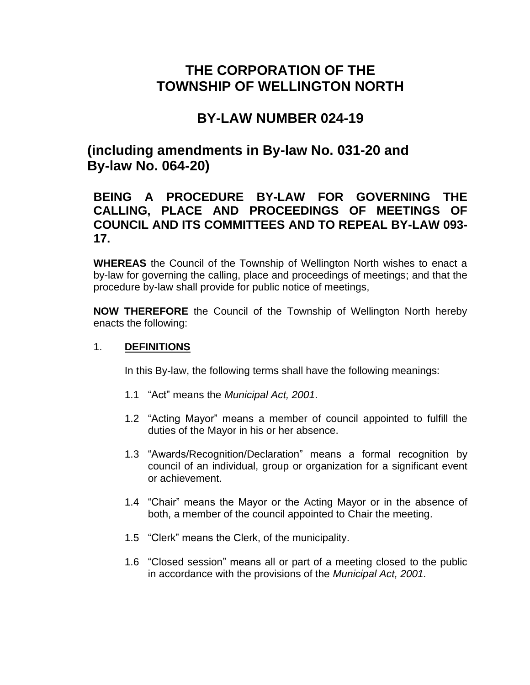# **THE CORPORATION OF THE TOWNSHIP OF WELLINGTON NORTH**

# **BY-LAW NUMBER 024-19**

# **(including amendments in By-law No. 031-20 and By-law No. 064-20)**

# **BEING A PROCEDURE BY-LAW FOR GOVERNING THE CALLING, PLACE AND PROCEEDINGS OF MEETINGS OF COUNCIL AND ITS COMMITTEES AND TO REPEAL BY-LAW 093- 17.**

**WHEREAS** the Council of the Township of Wellington North wishes to enact a by-law for governing the calling, place and proceedings of meetings; and that the procedure by-law shall provide for public notice of meetings,

**NOW THEREFORE** the Council of the Township of Wellington North hereby enacts the following:

#### 1. **DEFINITIONS**

In this By-law, the following terms shall have the following meanings:

- 1.1 "Act" means the *Municipal Act, 2001*.
- 1.2 "Acting Mayor" means a member of council appointed to fulfill the duties of the Mayor in his or her absence.
- 1.3 "Awards/Recognition/Declaration" means a formal recognition by council of an individual, group or organization for a significant event or achievement.
- 1.4 "Chair" means the Mayor or the Acting Mayor or in the absence of both, a member of the council appointed to Chair the meeting.
- 1.5 "Clerk" means the Clerk, of the municipality.
- 1.6 "Closed session" means all or part of a meeting closed to the public in accordance with the provisions of the *Municipal Act, 2001.*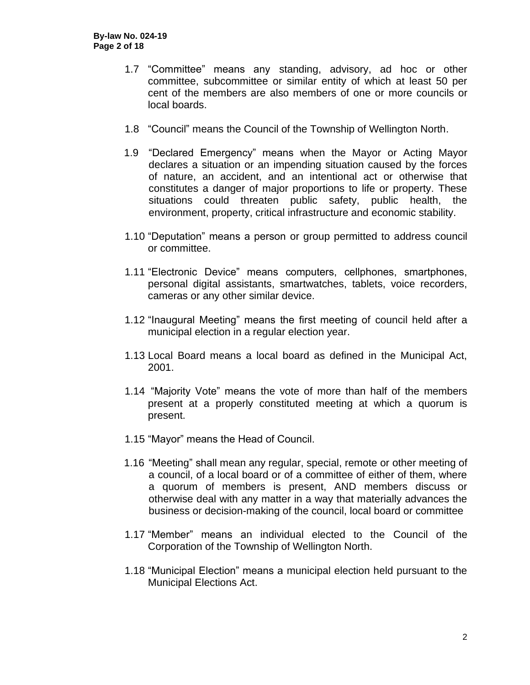- 1.7 "Committee" means any standing, advisory, ad hoc or other committee, subcommittee or similar entity of which at least 50 per cent of the members are also members of one or more councils or local boards.
- 1.8 "Council" means the Council of the Township of Wellington North.
- 1.9 "Declared Emergency" means when the Mayor or Acting Mayor declares a situation or an impending situation caused by the forces of nature, an accident, and an intentional act or otherwise that constitutes a danger of major proportions to life or property. These situations could threaten public safety, public health, the environment, property, critical infrastructure and economic stability.
- 1.10 "Deputation" means a person or group permitted to address council or committee.
- 1.11 "Electronic Device" means computers, cellphones, smartphones, personal digital assistants, smartwatches, tablets, voice recorders, cameras or any other similar device.
- 1.12 "Inaugural Meeting" means the first meeting of council held after a municipal election in a regular election year.
- 1.13 Local Board means a local board as defined in the Municipal Act, 2001.
- 1.14 "Majority Vote" means the vote of more than half of the members present at a properly constituted meeting at which a quorum is present.
- 1.15 "Mayor" means the Head of Council.
- 1.16 "Meeting" shall mean any regular, special, remote or other meeting of a council, of a local board or of a committee of either of them, where a quorum of members is present, AND members discuss or otherwise deal with any matter in a way that materially advances the business or decision-making of the council, local board or committee
- 1.17 "Member" means an individual elected to the Council of the Corporation of the Township of Wellington North.
- 1.18 "Municipal Election" means a municipal election held pursuant to the Municipal Elections Act.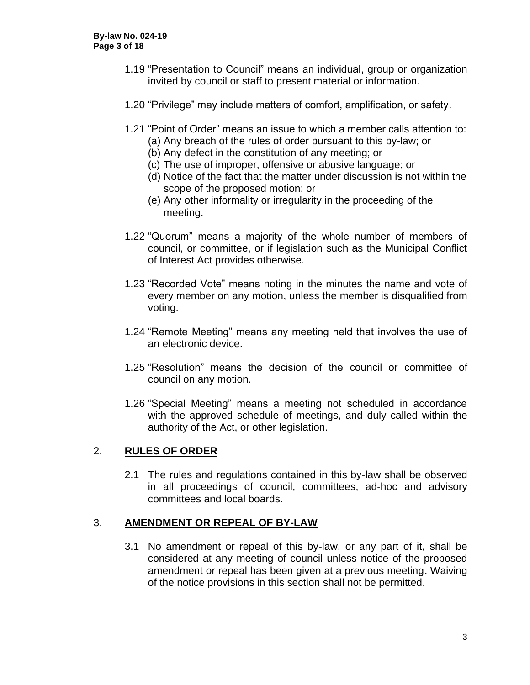- 1.19 "Presentation to Council" means an individual, group or organization invited by council or staff to present material or information.
- 1.20 "Privilege" may include matters of comfort, amplification, or safety.
- 1.21 "Point of Order" means an issue to which a member calls attention to:
	- (a) Any breach of the rules of order pursuant to this by-law; or
	- (b) Any defect in the constitution of any meeting; or
	- (c) The use of improper, offensive or abusive language; or
	- (d) Notice of the fact that the matter under discussion is not within the scope of the proposed motion; or
	- (e) Any other informality or irregularity in the proceeding of the meeting.
- 1.22 "Quorum" means a majority of the whole number of members of council, or committee, or if legislation such as the Municipal Conflict of Interest Act provides otherwise.
- 1.23 "Recorded Vote" means noting in the minutes the name and vote of every member on any motion, unless the member is disqualified from voting.
- 1.24 "Remote Meeting" means any meeting held that involves the use of an electronic device.
- 1.25 "Resolution" means the decision of the council or committee of council on any motion.
- 1.26 "Special Meeting" means a meeting not scheduled in accordance with the approved schedule of meetings, and duly called within the authority of the Act, or other legislation.

# 2. **RULES OF ORDER**

2.1 The rules and regulations contained in this by-law shall be observed in all proceedings of council, committees, ad-hoc and advisory committees and local boards.

# 3. **AMENDMENT OR REPEAL OF BY-LAW**

3.1 No amendment or repeal of this by-law, or any part of it, shall be considered at any meeting of council unless notice of the proposed amendment or repeal has been given at a previous meeting. Waiving of the notice provisions in this section shall not be permitted.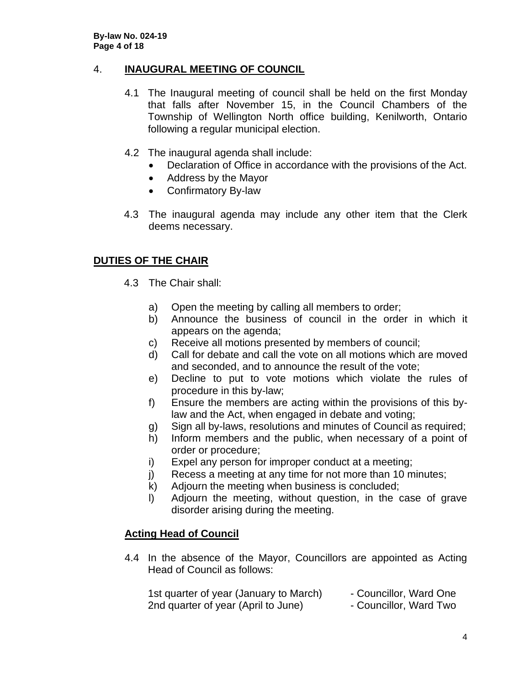## 4. **INAUGURAL MEETING OF COUNCIL**

- 4.1 The Inaugural meeting of council shall be held on the first Monday that falls after November 15, in the Council Chambers of the Township of Wellington North office building, Kenilworth, Ontario following a regular municipal election.
- 4.2 The inaugural agenda shall include:
	- Declaration of Office in accordance with the provisions of the Act.
	- Address by the Mayor
	- Confirmatory By-law
- 4.3 The inaugural agenda may include any other item that the Clerk deems necessary.

# **DUTIES OF THE CHAIR**

- 4.3 The Chair shall:
	- a) Open the meeting by calling all members to order;
	- b) Announce the business of council in the order in which it appears on the agenda;
	- c) Receive all motions presented by members of council;
	- d) Call for debate and call the vote on all motions which are moved and seconded, and to announce the result of the vote;
	- e) Decline to put to vote motions which violate the rules of procedure in this by-law;
	- f) Ensure the members are acting within the provisions of this bylaw and the Act, when engaged in debate and voting;
	- g) Sign all by-laws, resolutions and minutes of Council as required;
	- h) Inform members and the public, when necessary of a point of order or procedure;
	- i) Expel any person for improper conduct at a meeting;
	- j) Recess a meeting at any time for not more than 10 minutes;
	- k) Adjourn the meeting when business is concluded;
	- l) Adjourn the meeting, without question, in the case of grave disorder arising during the meeting.

# **Acting Head of Council**

4.4 In the absence of the Mayor, Councillors are appointed as Acting Head of Council as follows:

| 1st quarter of year (January to March) | - Councillor, Ward One |
|----------------------------------------|------------------------|
| 2nd quarter of year (April to June)    | - Councillor, Ward Two |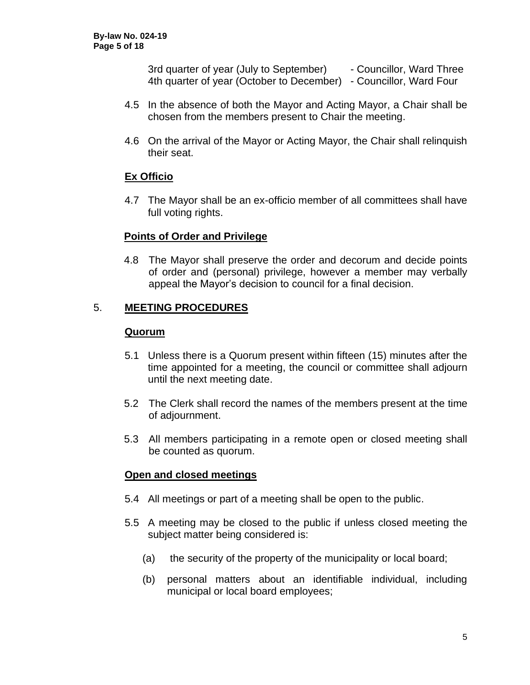3rd quarter of year (July to September) - Councillor, Ward Three 4th quarter of year (October to December) - Councillor, Ward Four

- 4.5 In the absence of both the Mayor and Acting Mayor, a Chair shall be chosen from the members present to Chair the meeting.
- 4.6 On the arrival of the Mayor or Acting Mayor, the Chair shall relinquish their seat.

# **Ex Officio**

4.7 The Mayor shall be an ex-officio member of all committees shall have full voting rights.

#### **Points of Order and Privilege**

4.8 The Mayor shall preserve the order and decorum and decide points of order and (personal) privilege, however a member may verbally appeal the Mayor's decision to council for a final decision.

## 5. **MEETING PROCEDURES**

#### **Quorum**

- 5.1 Unless there is a Quorum present within fifteen (15) minutes after the time appointed for a meeting, the council or committee shall adjourn until the next meeting date.
- 5.2 The Clerk shall record the names of the members present at the time of adjournment.
- 5.3 All members participating in a remote open or closed meeting shall be counted as quorum.

#### **Open and closed meetings**

- 5.4 All meetings or part of a meeting shall be open to the public.
- 5.5 A meeting may be closed to the public if unless closed meeting the subject matter being considered is:
	- (a) the security of the property of the municipality or local board;
	- (b) personal matters about an identifiable individual, including municipal or local board employees;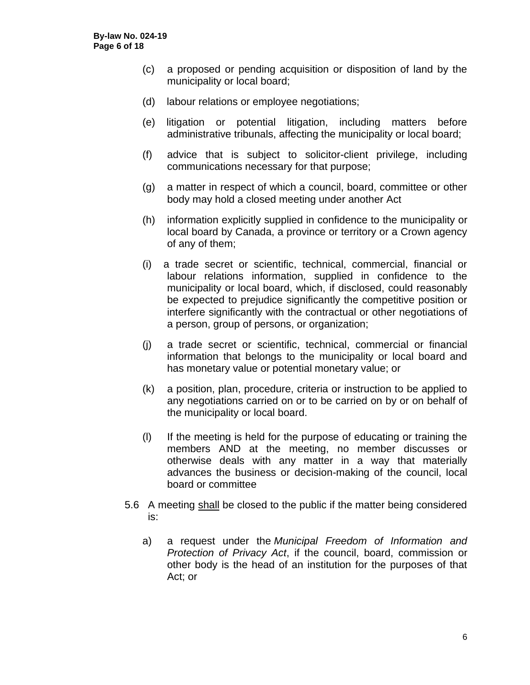- (c) a proposed or pending acquisition or disposition of land by the municipality or local board;
- (d) labour relations or employee negotiations;
- (e) litigation or potential litigation, including matters before administrative tribunals, affecting the municipality or local board;
- (f) advice that is subject to solicitor-client privilege, including communications necessary for that purpose;
- (g) a matter in respect of which a council, board, committee or other body may hold a closed meeting under another Act
- (h) information explicitly supplied in confidence to the municipality or local board by Canada, a province or territory or a Crown agency of any of them;
- (i) a trade secret or scientific, technical, commercial, financial or labour relations information, supplied in confidence to the municipality or local board, which, if disclosed, could reasonably be expected to prejudice significantly the competitive position or interfere significantly with the contractual or other negotiations of a person, group of persons, or organization;
- (j) a trade secret or scientific, technical, commercial or financial information that belongs to the municipality or local board and has monetary value or potential monetary value; or
- (k) a position, plan, procedure, criteria or instruction to be applied to any negotiations carried on or to be carried on by or on behalf of the municipality or local board.
- (l) If the meeting is held for the purpose of educating or training the members AND at the meeting, no member discusses or otherwise deals with any matter in a way that materially advances the business or decision-making of the council, local board or committee
- 5.6 A meeting shall be closed to the public if the matter being considered is:
	- a) a request under the *Municipal Freedom of Information and Protection of Privacy Act*, if the council, board, commission or other body is the head of an institution for the purposes of that Act; or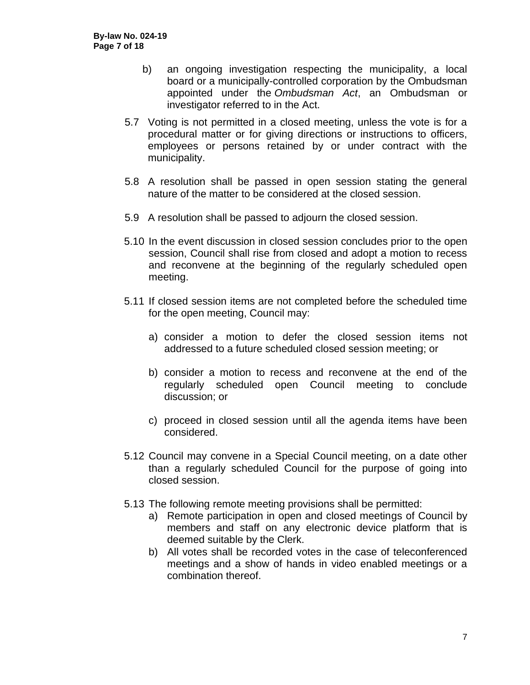- b) an ongoing investigation respecting the municipality, a local board or a municipally-controlled corporation by the Ombudsman appointed under the *Ombudsman Act*, an Ombudsman or investigator referred to in the Act.
- 5.7 Voting is not permitted in a closed meeting, unless the vote is for a procedural matter or for giving directions or instructions to officers, employees or persons retained by or under contract with the municipality.
- 5.8 A resolution shall be passed in open session stating the general nature of the matter to be considered at the closed session.
- 5.9 A resolution shall be passed to adjourn the closed session.
- 5.10 In the event discussion in closed session concludes prior to the open session, Council shall rise from closed and adopt a motion to recess and reconvene at the beginning of the regularly scheduled open meeting.
- 5.11 If closed session items are not completed before the scheduled time for the open meeting, Council may:
	- a) consider a motion to defer the closed session items not addressed to a future scheduled closed session meeting; or
	- b) consider a motion to recess and reconvene at the end of the regularly scheduled open Council meeting to conclude discussion; or
	- c) proceed in closed session until all the agenda items have been considered.
- 5.12 Council may convene in a Special Council meeting, on a date other than a regularly scheduled Council for the purpose of going into closed session.
- 5.13 The following remote meeting provisions shall be permitted:
	- a) Remote participation in open and closed meetings of Council by members and staff on any electronic device platform that is deemed suitable by the Clerk.
	- b) All votes shall be recorded votes in the case of teleconferenced meetings and a show of hands in video enabled meetings or a combination thereof.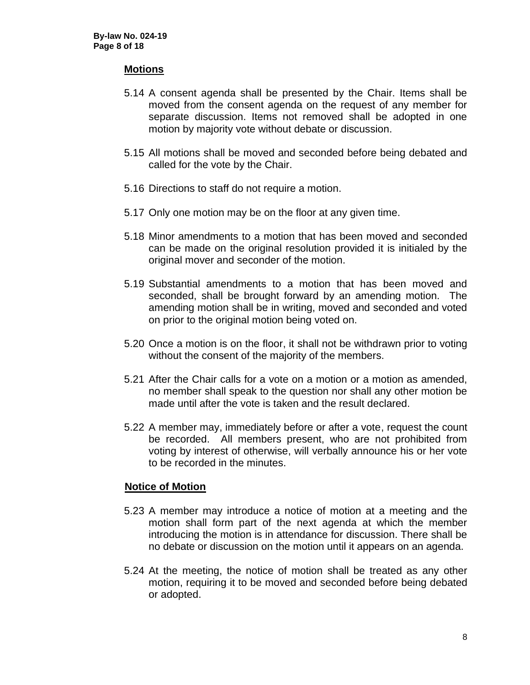#### **Motions**

- 5.14 A consent agenda shall be presented by the Chair. Items shall be moved from the consent agenda on the request of any member for separate discussion. Items not removed shall be adopted in one motion by majority vote without debate or discussion.
- 5.15 All motions shall be moved and seconded before being debated and called for the vote by the Chair.
- 5.16 Directions to staff do not require a motion.
- 5.17 Only one motion may be on the floor at any given time.
- 5.18 Minor amendments to a motion that has been moved and seconded can be made on the original resolution provided it is initialed by the original mover and seconder of the motion.
- 5.19 Substantial amendments to a motion that has been moved and seconded, shall be brought forward by an amending motion. The amending motion shall be in writing, moved and seconded and voted on prior to the original motion being voted on.
- 5.20 Once a motion is on the floor, it shall not be withdrawn prior to voting without the consent of the majority of the members.
- 5.21 After the Chair calls for a vote on a motion or a motion as amended, no member shall speak to the question nor shall any other motion be made until after the vote is taken and the result declared.
- 5.22 A member may, immediately before or after a vote, request the count be recorded. All members present, who are not prohibited from voting by interest of otherwise, will verbally announce his or her vote to be recorded in the minutes.

#### **Notice of Motion**

- 5.23 A member may introduce a notice of motion at a meeting and the motion shall form part of the next agenda at which the member introducing the motion is in attendance for discussion. There shall be no debate or discussion on the motion until it appears on an agenda.
- 5.24 At the meeting, the notice of motion shall be treated as any other motion, requiring it to be moved and seconded before being debated or adopted.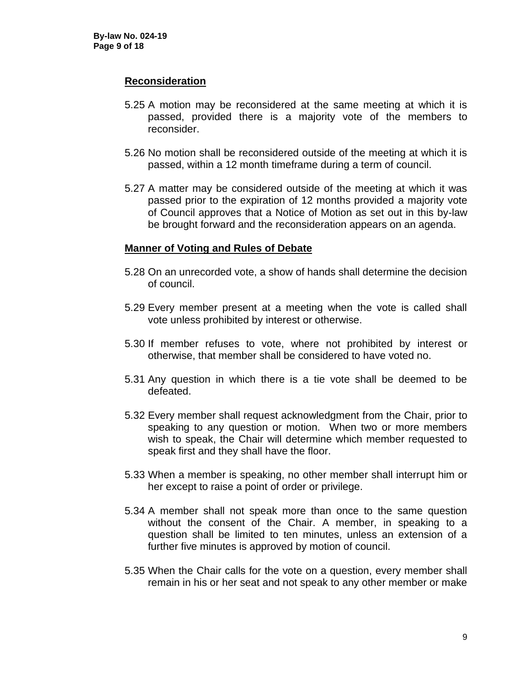#### **Reconsideration**

- 5.25 A motion may be reconsidered at the same meeting at which it is passed, provided there is a majority vote of the members to reconsider.
- 5.26 No motion shall be reconsidered outside of the meeting at which it is passed, within a 12 month timeframe during a term of council.
- 5.27 A matter may be considered outside of the meeting at which it was passed prior to the expiration of 12 months provided a majority vote of Council approves that a Notice of Motion as set out in this by-law be brought forward and the reconsideration appears on an agenda.

#### **Manner of Voting and Rules of Debate**

- 5.28 On an unrecorded vote, a show of hands shall determine the decision of council.
- 5.29 Every member present at a meeting when the vote is called shall vote unless prohibited by interest or otherwise.
- 5.30 If member refuses to vote, where not prohibited by interest or otherwise, that member shall be considered to have voted no.
- 5.31 Any question in which there is a tie vote shall be deemed to be defeated.
- 5.32 Every member shall request acknowledgment from the Chair, prior to speaking to any question or motion. When two or more members wish to speak, the Chair will determine which member requested to speak first and they shall have the floor.
- 5.33 When a member is speaking, no other member shall interrupt him or her except to raise a point of order or privilege.
- 5.34 A member shall not speak more than once to the same question without the consent of the Chair. A member, in speaking to a question shall be limited to ten minutes, unless an extension of a further five minutes is approved by motion of council.
- 5.35 When the Chair calls for the vote on a question, every member shall remain in his or her seat and not speak to any other member or make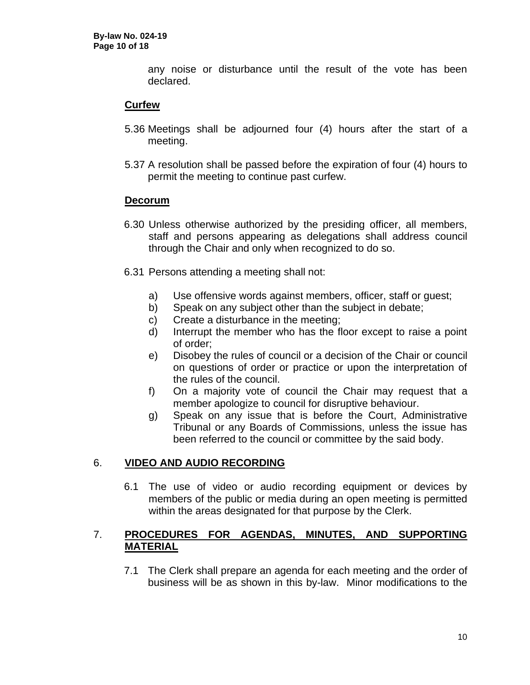any noise or disturbance until the result of the vote has been declared.

## **Curfew**

- 5.36 Meetings shall be adjourned four (4) hours after the start of a meeting.
- 5.37 A resolution shall be passed before the expiration of four (4) hours to permit the meeting to continue past curfew.

#### **Decorum**

- 6.30 Unless otherwise authorized by the presiding officer, all members, staff and persons appearing as delegations shall address council through the Chair and only when recognized to do so.
- 6.31 Persons attending a meeting shall not:
	- a) Use offensive words against members, officer, staff or guest;
	- b) Speak on any subject other than the subject in debate;
	- c) Create a disturbance in the meeting;
	- d) Interrupt the member who has the floor except to raise a point of order;
	- e) Disobey the rules of council or a decision of the Chair or council on questions of order or practice or upon the interpretation of the rules of the council.
	- f) On a majority vote of council the Chair may request that a member apologize to council for disruptive behaviour.
	- g) Speak on any issue that is before the Court, Administrative Tribunal or any Boards of Commissions, unless the issue has been referred to the council or committee by the said body.

#### 6. **VIDEO AND AUDIO RECORDING**

6.1 The use of video or audio recording equipment or devices by members of the public or media during an open meeting is permitted within the areas designated for that purpose by the Clerk.

## 7. **PROCEDURES FOR AGENDAS, MINUTES, AND SUPPORTING MATERIAL**

7.1 The Clerk shall prepare an agenda for each meeting and the order of business will be as shown in this by-law. Minor modifications to the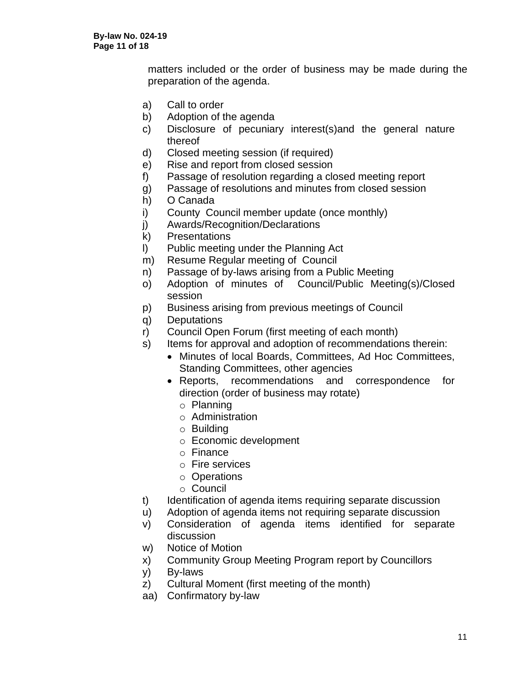matters included or the order of business may be made during the preparation of the agenda.

- a) Call to order
- b) Adoption of the agenda
- c) Disclosure of pecuniary interest(s)and the general nature thereof
- d) Closed meeting session (if required)
- e) Rise and report from closed session
- f) Passage of resolution regarding a closed meeting report
- g) Passage of resolutions and minutes from closed session
- h) O Canada
- i) County Council member update (once monthly)
- j) Awards/Recognition/Declarations
- k) Presentations
- l) Public meeting under the Planning Act
- m) Resume Regular meeting of Council
- n) Passage of by-laws arising from a Public Meeting
- o) Adoption of minutes of Council/Public Meeting(s)/Closed session
- p) Business arising from previous meetings of Council
- q) Deputations
- r) Council Open Forum (first meeting of each month)
- s) Items for approval and adoption of recommendations therein:
	- Minutes of local Boards, Committees, Ad Hoc Committees, Standing Committees, other agencies
	- Reports, recommendations and correspondence for direction (order of business may rotate)
		- o Planning
		- o Administration
		- o Building
		- o Economic development
		- o Finance
		- o Fire services
		- o Operations
		- o Council
- t) Identification of agenda items requiring separate discussion
- u) Adoption of agenda items not requiring separate discussion
- v) Consideration of agenda items identified for separate discussion
- w) Notice of Motion
- x) Community Group Meeting Program report by Councillors
- y) By-laws
- z) Cultural Moment (first meeting of the month)
- aa) Confirmatory by-law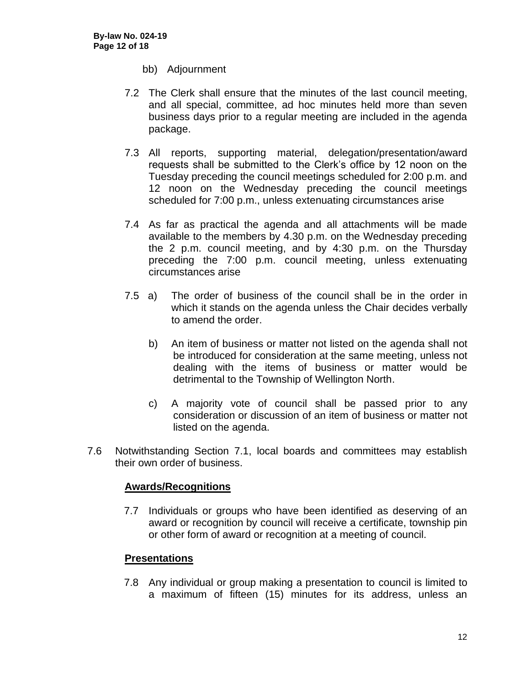- bb) Adjournment
- 7.2 The Clerk shall ensure that the minutes of the last council meeting, and all special, committee, ad hoc minutes held more than seven business days prior to a regular meeting are included in the agenda package.
- 7.3 All reports, supporting material, delegation/presentation/award requests shall be submitted to the Clerk's office by 12 noon on the Tuesday preceding the council meetings scheduled for 2:00 p.m. and 12 noon on the Wednesday preceding the council meetings scheduled for 7:00 p.m., unless extenuating circumstances arise
- 7.4 As far as practical the agenda and all attachments will be made available to the members by 4.30 p.m. on the Wednesday preceding the 2 p.m. council meeting, and by 4:30 p.m. on the Thursday preceding the 7:00 p.m. council meeting, unless extenuating circumstances arise
- 7.5 a) The order of business of the council shall be in the order in which it stands on the agenda unless the Chair decides verbally to amend the order.
	- b) An item of business or matter not listed on the agenda shall not be introduced for consideration at the same meeting, unless not dealing with the items of business or matter would be detrimental to the Township of Wellington North.
	- c) A majority vote of council shall be passed prior to any consideration or discussion of an item of business or matter not listed on the agenda.
- 7.6 Notwithstanding Section 7.1, local boards and committees may establish their own order of business.

#### **Awards/Recognitions**

7.7 Individuals or groups who have been identified as deserving of an award or recognition by council will receive a certificate, township pin or other form of award or recognition at a meeting of council.

# **Presentations**

7.8 Any individual or group making a presentation to council is limited to a maximum of fifteen (15) minutes for its address, unless an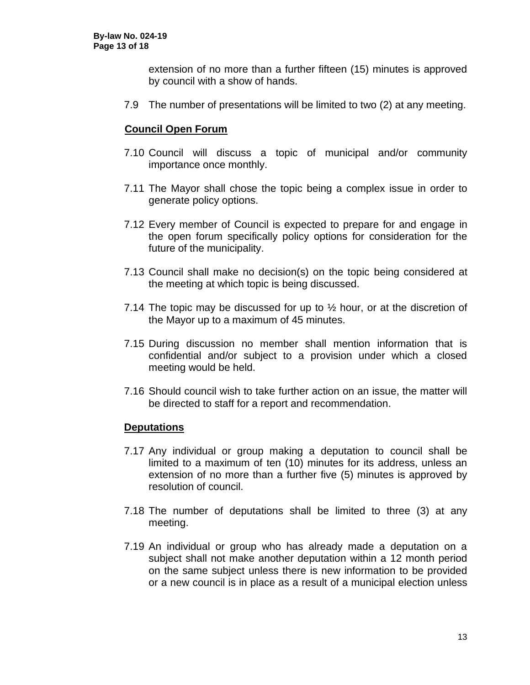extension of no more than a further fifteen (15) minutes is approved by council with a show of hands.

7.9 The number of presentations will be limited to two (2) at any meeting.

#### **Council Open Forum**

- 7.10 Council will discuss a topic of municipal and/or community importance once monthly.
- 7.11 The Mayor shall chose the topic being a complex issue in order to generate policy options.
- 7.12 Every member of Council is expected to prepare for and engage in the open forum specifically policy options for consideration for the future of the municipality.
- 7.13 Council shall make no decision(s) on the topic being considered at the meeting at which topic is being discussed.
- 7.14 The topic may be discussed for up to ½ hour, or at the discretion of the Mayor up to a maximum of 45 minutes.
- 7.15 During discussion no member shall mention information that is confidential and/or subject to a provision under which a closed meeting would be held.
- 7.16 Should council wish to take further action on an issue, the matter will be directed to staff for a report and recommendation.

#### **Deputations**

- 7.17 Any individual or group making a deputation to council shall be limited to a maximum of ten (10) minutes for its address, unless an extension of no more than a further five (5) minutes is approved by resolution of council.
- 7.18 The number of deputations shall be limited to three (3) at any meeting.
- 7.19 An individual or group who has already made a deputation on a subject shall not make another deputation within a 12 month period on the same subject unless there is new information to be provided or a new council is in place as a result of a municipal election unless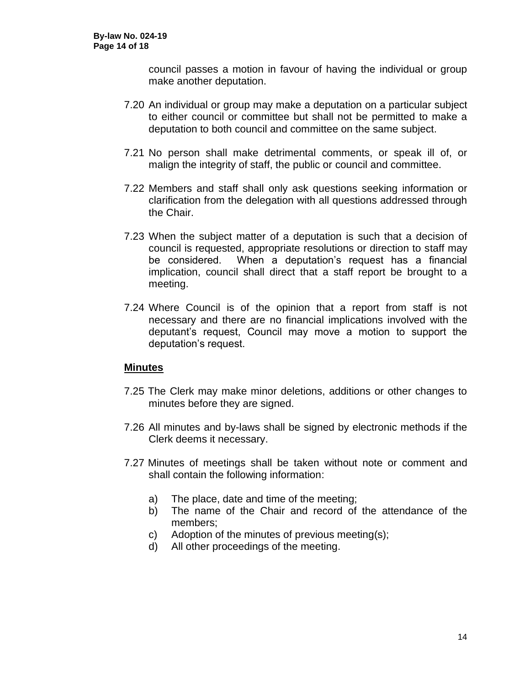council passes a motion in favour of having the individual or group make another deputation.

- 7.20 An individual or group may make a deputation on a particular subject to either council or committee but shall not be permitted to make a deputation to both council and committee on the same subject.
- 7.21 No person shall make detrimental comments, or speak ill of, or malign the integrity of staff, the public or council and committee.
- 7.22 Members and staff shall only ask questions seeking information or clarification from the delegation with all questions addressed through the Chair.
- 7.23 When the subject matter of a deputation is such that a decision of council is requested, appropriate resolutions or direction to staff may be considered. When a deputation's request has a financial implication, council shall direct that a staff report be brought to a meeting.
- 7.24 Where Council is of the opinion that a report from staff is not necessary and there are no financial implications involved with the deputant's request, Council may move a motion to support the deputation's request.

# **Minutes**

- 7.25 The Clerk may make minor deletions, additions or other changes to minutes before they are signed.
- 7.26 All minutes and by-laws shall be signed by electronic methods if the Clerk deems it necessary.
- 7.27 Minutes of meetings shall be taken without note or comment and shall contain the following information:
	- a) The place, date and time of the meeting;
	- b) The name of the Chair and record of the attendance of the members;
	- c) Adoption of the minutes of previous meeting(s);
	- d) All other proceedings of the meeting.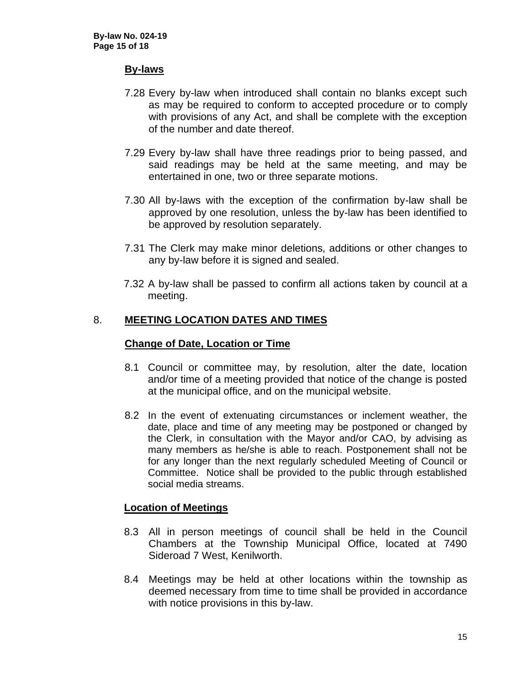#### **By-laws**

- 7.28 Every by-law when introduced shall contain no blanks except such as may be required to conform to accepted procedure or to comply with provisions of any Act, and shall be complete with the exception of the number and date thereof.
- 7.29 Every by-law shall have three readings prior to being passed, and said readings may be held at the same meeting, and may be entertained in one, two or three separate motions.
- 7.30 All by-laws with the exception of the confirmation by-law shall be approved by one resolution, unless the by-law has been identified to be approved by resolution separately.
- 7.31 The Clerk may make minor deletions, additions or other changes to any by-law before it is signed and sealed.
- 7.32 A by-law shall be passed to confirm all actions taken by council at a meeting.

## 8. **MEETING LOCATION DATES AND TIMES**

#### **Change of Date, Location or Time**

- 8.1 Council or committee may, by resolution, alter the date, location and/or time of a meeting provided that notice of the change is posted at the municipal office, and on the municipal website.
- 8.2 In the event of extenuating circumstances or inclement weather, the date, place and time of any meeting may be postponed or changed by the Clerk, in consultation with the Mayor and/or CAO, by advising as many members as he/she is able to reach. Postponement shall not be for any longer than the next regularly scheduled Meeting of Council or Committee. Notice shall be provided to the public through established social media streams.

#### **Location of Meetings**

- 8.3 All in person meetings of council shall be held in the Council Chambers at the Township Municipal Office, located at 7490 Sideroad 7 West, Kenilworth.
- 8.4 Meetings may be held at other locations within the township as deemed necessary from time to time shall be provided in accordance with notice provisions in this by-law.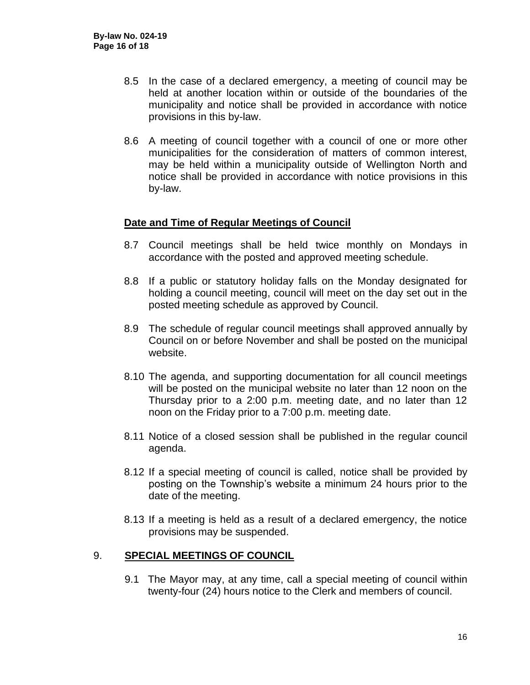- 8.5 In the case of a declared emergency, a meeting of council may be held at another location within or outside of the boundaries of the municipality and notice shall be provided in accordance with notice provisions in this by-law.
- 8.6 A meeting of council together with a council of one or more other municipalities for the consideration of matters of common interest, may be held within a municipality outside of Wellington North and notice shall be provided in accordance with notice provisions in this by-law.

#### **Date and Time of Regular Meetings of Council**

- 8.7 Council meetings shall be held twice monthly on Mondays in accordance with the posted and approved meeting schedule.
- 8.8 If a public or statutory holiday falls on the Monday designated for holding a council meeting, council will meet on the day set out in the posted meeting schedule as approved by Council.
- 8.9 The schedule of regular council meetings shall approved annually by Council on or before November and shall be posted on the municipal website.
- 8.10 The agenda, and supporting documentation for all council meetings will be posted on the municipal website no later than 12 noon on the Thursday prior to a 2:00 p.m. meeting date, and no later than 12 noon on the Friday prior to a 7:00 p.m. meeting date.
- 8.11 Notice of a closed session shall be published in the regular council agenda.
- 8.12 If a special meeting of council is called, notice shall be provided by posting on the Township's website a minimum 24 hours prior to the date of the meeting.
- 8.13 If a meeting is held as a result of a declared emergency, the notice provisions may be suspended.

#### 9. **SPECIAL MEETINGS OF COUNCIL**

9.1 The Mayor may, at any time, call a special meeting of council within twenty-four (24) hours notice to the Clerk and members of council.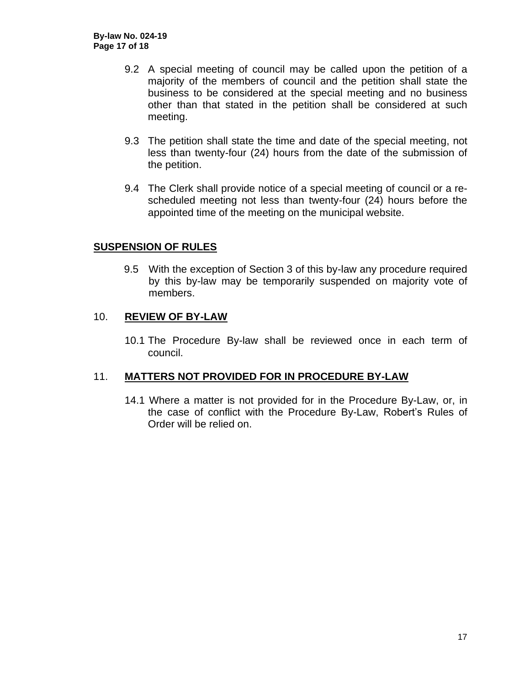- 9.2 A special meeting of council may be called upon the petition of a majority of the members of council and the petition shall state the business to be considered at the special meeting and no business other than that stated in the petition shall be considered at such meeting.
- 9.3 The petition shall state the time and date of the special meeting, not less than twenty-four (24) hours from the date of the submission of the petition.
- 9.4 The Clerk shall provide notice of a special meeting of council or a rescheduled meeting not less than twenty-four (24) hours before the appointed time of the meeting on the municipal website.

## **SUSPENSION OF RULES**

9.5 With the exception of Section 3 of this by-law any procedure required by this by-law may be temporarily suspended on majority vote of members.

## 10. **REVIEW OF BY-LAW**

10.1 The Procedure By-law shall be reviewed once in each term of council.

#### 11. **MATTERS NOT PROVIDED FOR IN PROCEDURE BY-LAW**

14.1 Where a matter is not provided for in the Procedure By-Law, or, in the case of conflict with the Procedure By-Law, Robert's Rules of Order will be relied on.